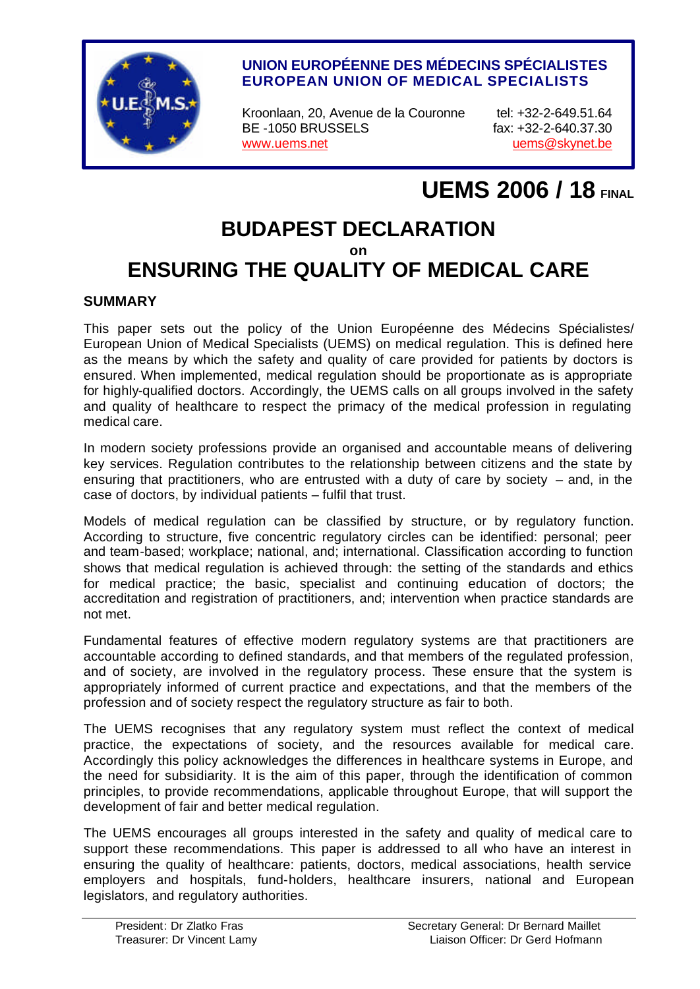

#### **UNION EUROPÉENNE DES MÉDECINS SPÉCIALISTES EUROPEAN UNION OF MEDICAL SPECIALISTS**

Kroonlaan, 20, Avenue de la Couronne tel: +32-2-649.51.64 BE -1050 BRUSSELS fax: +32-2-640.37.30 www.uems.net under the use of the uems @skynet.be

# **UEMS 2006 / 18 FINAL**

## **BUDAPEST DECLARATION on ENSURING THE QUALITY OF MEDICAL CARE**

#### **SUMMARY**

This paper sets out the policy of the Union Européenne des Médecins Spécialistes/ European Union of Medical Specialists (UEMS) on medical regulation. This is defined here as the means by which the safety and quality of care provided for patients by doctors is ensured. When implemented, medical regulation should be proportionate as is appropriate for highly-qualified doctors. Accordingly, the UEMS calls on all groups involved in the safety and quality of healthcare to respect the primacy of the medical profession in regulating medical care.

In modern society professions provide an organised and accountable means of delivering key services. Regulation contributes to the relationship between citizens and the state by ensuring that practitioners, who are entrusted with a duty of care by society  $-$  and, in the case of doctors, by individual patients – fulfil that trust.

Models of medical regulation can be classified by structure, or by regulatory function. According to structure, five concentric regulatory circles can be identified: personal; peer and team-based; workplace; national, and; international. Classification according to function shows that medical regulation is achieved through: the setting of the standards and ethics for medical practice; the basic, specialist and continuing education of doctors; the accreditation and registration of practitioners, and; intervention when practice standards are not met.

Fundamental features of effective modern regulatory systems are that practitioners are accountable according to defined standards, and that members of the regulated profession, and of society, are involved in the regulatory process. These ensure that the system is appropriately informed of current practice and expectations, and that the members of the profession and of society respect the regulatory structure as fair to both.

The UEMS recognises that any regulatory system must reflect the context of medical practice, the expectations of society, and the resources available for medical care. Accordingly this policy acknowledges the differences in healthcare systems in Europe, and the need for subsidiarity. It is the aim of this paper, through the identification of common principles, to provide recommendations, applicable throughout Europe, that will support the development of fair and better medical regulation.

The UEMS encourages all groups interested in the safety and quality of medical care to support these recommendations. This paper is addressed to all who have an interest in ensuring the quality of healthcare: patients, doctors, medical associations, health service employers and hospitals, fund-holders, healthcare insurers, national and European legislators, and regulatory authorities.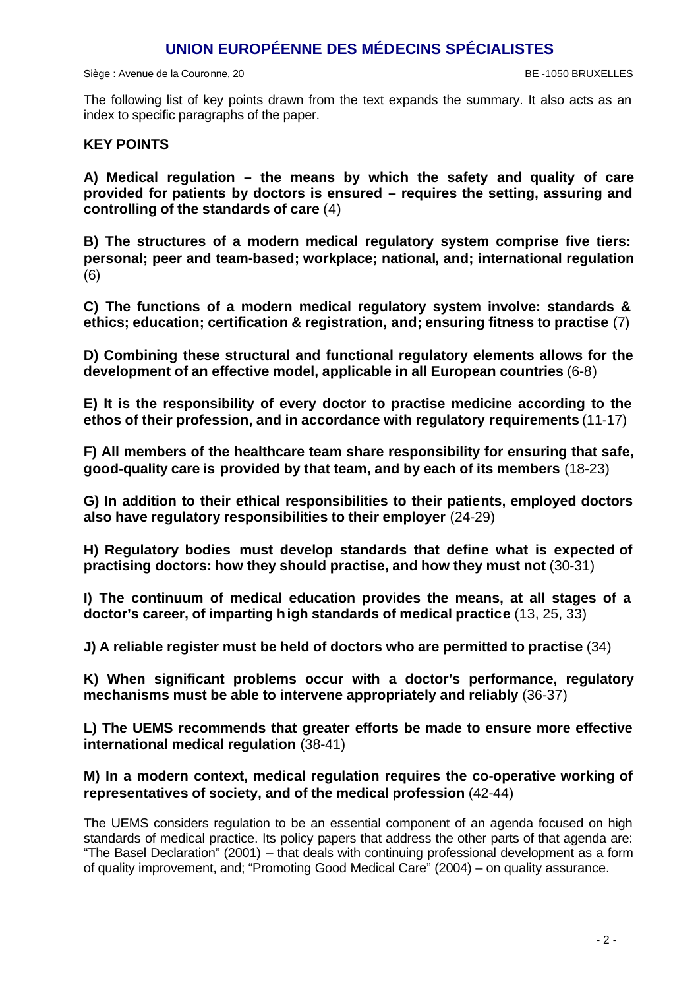## **UNION EUROPÉENNE DES MÉDECINS SPÉCIALISTES**

The following list of key points drawn from the text expands the summary. It also acts as an index to specific paragraphs of the paper.

#### **KEY POINTS**

**A) Medical regulation – the means by which the safety and quality of care provided for patients by doctors is ensured – requires the setting, assuring and controlling of the standards of care** (4)

**B) The structures of a modern medical regulatory system comprise five tiers: personal; peer and team-based; workplace; national, and; international regulation**  (6)

**C) The functions of a modern medical regulatory system involve: standards & ethics; education; certification & registration, and; ensuring fitness to practise** (7)

**D) Combining these structural and functional regulatory elements allows for the development of an effective model, applicable in all European countries** (6-8)

**E) It is the responsibility of every doctor to practise medicine according to the ethos of their profession, and in accordance with regulatory requirements** (11-17)

**F) All members of the healthcare team share responsibility for ensuring that safe, good-quality care is provided by that team, and by each of its members** (18-23)

**G) In addition to their ethical responsibilities to their patients, employed doctors also have regulatory responsibilities to their employer** (24-29)

**H) Regulatory bodies must develop standards that define what is expected of practising doctors: how they should practise, and how they must not** (30-31)

**I) The continuum of medical education provides the means, at all stages of a doctor's career, of imparting high standards of medical practice** (13, 25, 33)

**J) A reliable register must be held of doctors who are permitted to practise** (34)

**K) When significant problems occur with a doctor's performance, regulatory mechanisms must be able to intervene appropriately and reliably** (36-37)

**L) The UEMS recommends that greater efforts be made to ensure more effective international medical regulation** (38-41)

#### **M) In a modern context, medical regulation requires the co-operative working of representatives of society, and of the medical profession** (42-44)

The UEMS considers regulation to be an essential component of an agenda focused on high standards of medical practice. Its policy papers that address the other parts of that agenda are: "The Basel Declaration" (2001) – that deals with continuing professional development as a form of quality improvement, and; "Promoting Good Medical Care" (2004) – on quality assurance.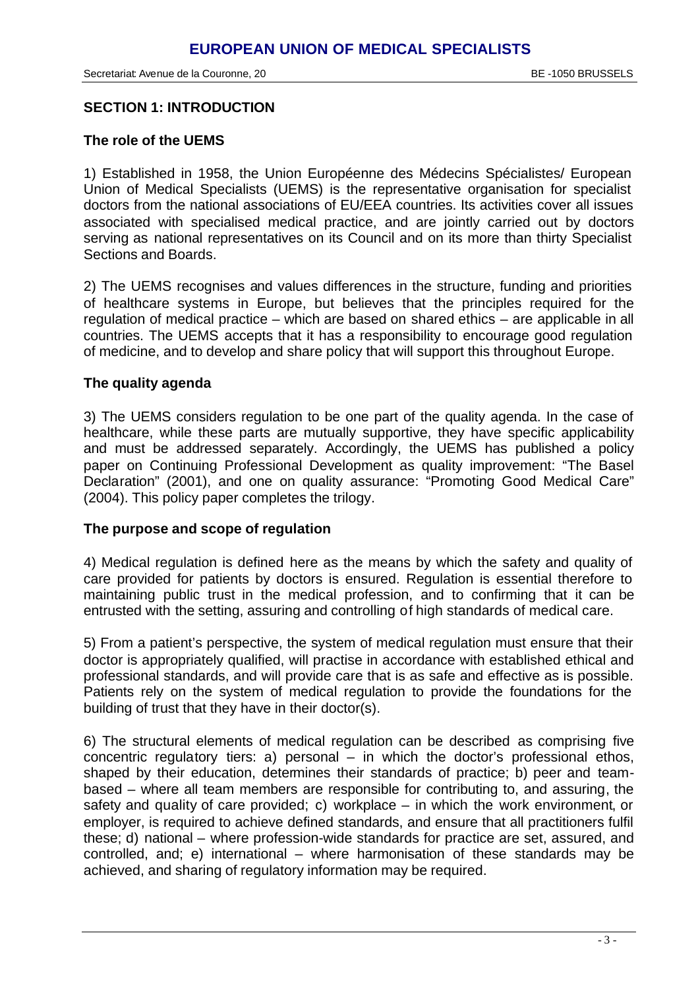#### **SECTION 1: INTRODUCTION**

#### **The role of the UEMS**

1) Established in 1958, the Union Européenne des Médecins Spécialistes/ European Union of Medical Specialists (UEMS) is the representative organisation for specialist doctors from the national associations of EU/EEA countries. Its activities cover all issues associated with specialised medical practice, and are jointly carried out by doctors serving as national representatives on its Council and on its more than thirty Specialist Sections and Boards.

2) The UEMS recognises and values differences in the structure, funding and priorities of healthcare systems in Europe, but believes that the principles required for the regulation of medical practice – which are based on shared ethics – are applicable in all countries. The UEMS accepts that it has a responsibility to encourage good regulation of medicine, and to develop and share policy that will support this throughout Europe.

#### **The quality agenda**

3) The UEMS considers regulation to be one part of the quality agenda. In the case of healthcare, while these parts are mutually supportive, they have specific applicability and must be addressed separately. Accordingly, the UEMS has published a policy paper on Continuing Professional Development as quality improvement: "The Basel Declaration" (2001), and one on quality assurance: "Promoting Good Medical Care" (2004). This policy paper completes the trilogy.

#### **The purpose and scope of regulation**

4) Medical regulation is defined here as the means by which the safety and quality of care provided for patients by doctors is ensured. Regulation is essential therefore to maintaining public trust in the medical profession, and to confirming that it can be entrusted with the setting, assuring and controlling of high standards of medical care.

5) From a patient's perspective, the system of medical regulation must ensure that their doctor is appropriately qualified, will practise in accordance with established ethical and professional standards, and will provide care that is as safe and effective as is possible. Patients rely on the system of medical regulation to provide the foundations for the building of trust that they have in their doctor(s).

6) The structural elements of medical regulation can be described as comprising five concentric regulatory tiers: a) personal – in which the doctor's professional ethos, shaped by their education, determines their standards of practice; b) peer and teambased – where all team members are responsible for contributing to, and assuring, the safety and quality of care provided; c) workplace – in which the work environment, or employer, is required to achieve defined standards, and ensure that all practitioners fulfil these; d) national – where profession-wide standards for practice are set, assured, and controlled, and; e) international – where harmonisation of these standards may be achieved, and sharing of regulatory information may be required.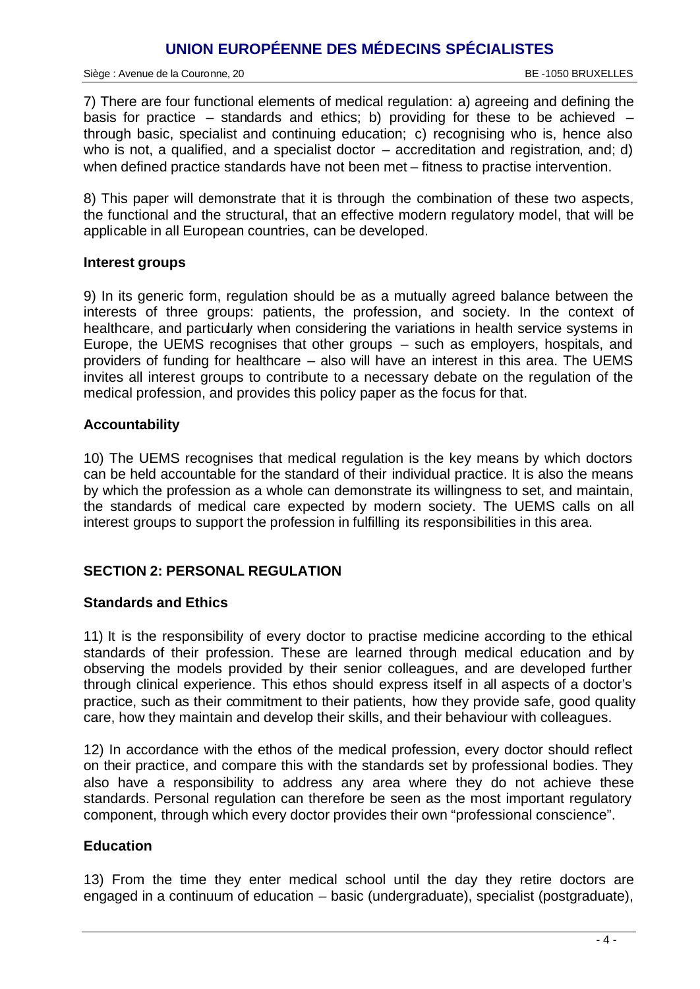## **UNION EUROPÉENNE DES MÉDECINS SPÉCIALISTES**

Siège : Avenue de la Couronne, 20 BE -1050 BRUXELLES

7) There are four functional elements of medical regulation: a) agreeing and defining the basis for practice – standards and ethics; b) providing for these to be achieved – through basic, specialist and continuing education; c) recognising who is, hence also who is not, a qualified, and a specialist doctor  $-$  accreditation and registration, and; d) when defined practice standards have not been met – fitness to practise intervention.

8) This paper will demonstrate that it is through the combination of these two aspects, the functional and the structural, that an effective modern regulatory model, that will be applicable in all European countries, can be developed.

#### **Interest groups**

9) In its generic form, regulation should be as a mutually agreed balance between the interests of three groups: patients, the profession, and society. In the context of healthcare, and particularly when considering the variations in health service systems in Europe, the UEMS recognises that other groups – such as employers, hospitals, and providers of funding for healthcare – also will have an interest in this area. The UEMS invites all interest groups to contribute to a necessary debate on the regulation of the medical profession, and provides this policy paper as the focus for that.

#### **Accountability**

10) The UEMS recognises that medical regulation is the key means by which doctors can be held accountable for the standard of their individual practice. It is also the means by which the profession as a whole can demonstrate its willingness to set, and maintain, the standards of medical care expected by modern society. The UEMS calls on all interest groups to support the profession in fulfilling its responsibilities in this area.

#### **SECTION 2: PERSONAL REGULATION**

#### **Standards and Ethics**

11) It is the responsibility of every doctor to practise medicine according to the ethical standards of their profession. These are learned through medical education and by observing the models provided by their senior colleagues, and are developed further through clinical experience. This ethos should express itself in all aspects of a doctor's practice, such as their commitment to their patients, how they provide safe, good quality care, how they maintain and develop their skills, and their behaviour with colleagues.

12) In accordance with the ethos of the medical profession, every doctor should reflect on their practice, and compare this with the standards set by professional bodies. They also have a responsibility to address any area where they do not achieve these standards. Personal regulation can therefore be seen as the most important regulatory component, through which every doctor provides their own "professional conscience".

#### **Education**

13) From the time they enter medical school until the day they retire doctors are engaged in a continuum of education – basic (undergraduate), specialist (postgraduate),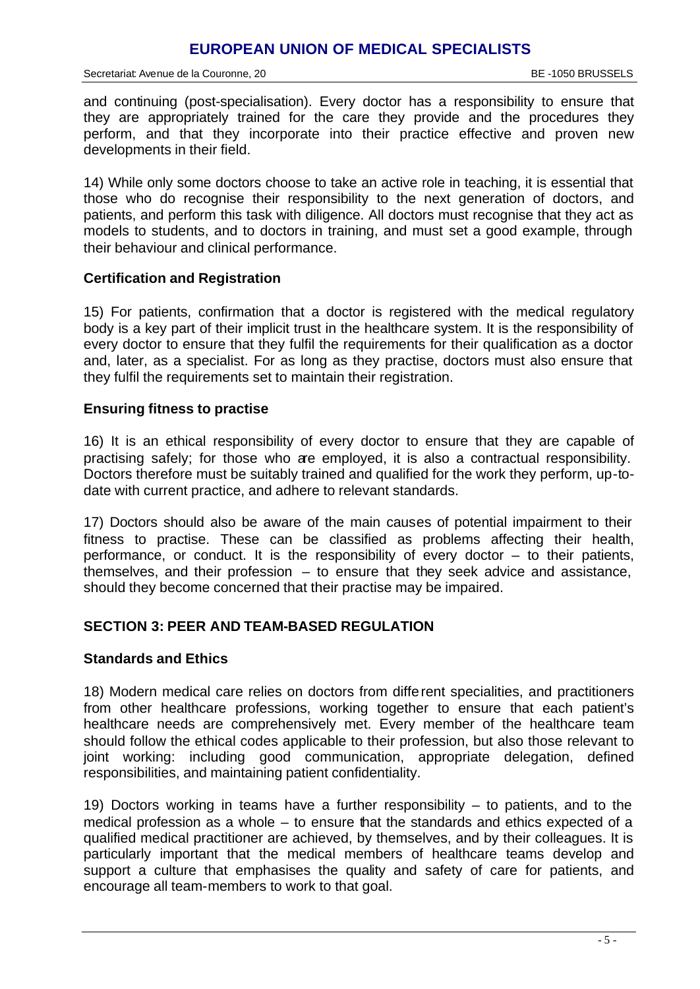and continuing (post-specialisation). Every doctor has a responsibility to ensure that they are appropriately trained for the care they provide and the procedures they perform, and that they incorporate into their practice effective and proven new developments in their field.

14) While only some doctors choose to take an active role in teaching, it is essential that those who do recognise their responsibility to the next generation of doctors, and patients, and perform this task with diligence. All doctors must recognise that they act as models to students, and to doctors in training, and must set a good example, through their behaviour and clinical performance.

#### **Certification and Registration**

15) For patients, confirmation that a doctor is registered with the medical regulatory body is a key part of their implicit trust in the healthcare system. It is the responsibility of every doctor to ensure that they fulfil the requirements for their qualification as a doctor and, later, as a specialist. For as long as they practise, doctors must also ensure that they fulfil the requirements set to maintain their registration.

#### **Ensuring fitness to practise**

16) It is an ethical responsibility of every doctor to ensure that they are capable of practising safely; for those who are employed, it is also a contractual responsibility. Doctors therefore must be suitably trained and qualified for the work they perform, up-todate with current practice, and adhere to relevant standards.

17) Doctors should also be aware of the main causes of potential impairment to their fitness to practise. These can be classified as problems affecting their health, performance, or conduct. It is the responsibility of every doctor – to their patients, themselves, and their profession – to ensure that they seek advice and assistance, should they become concerned that their practise may be impaired.

#### **SECTION 3: PEER AND TEAM-BASED REGULATION**

#### **Standards and Ethics**

18) Modern medical care relies on doctors from different specialities, and practitioners from other healthcare professions, working together to ensure that each patient's healthcare needs are comprehensively met. Every member of the healthcare team should follow the ethical codes applicable to their profession, but also those relevant to joint working: including good communication, appropriate delegation, defined responsibilities, and maintaining patient confidentiality.

19) Doctors working in teams have a further responsibility – to patients, and to the medical profession as a whole – to ensure that the standards and ethics expected of a qualified medical practitioner are achieved, by themselves, and by their colleagues. It is particularly important that the medical members of healthcare teams develop and support a culture that emphasises the quality and safety of care for patients, and encourage all team-members to work to that goal.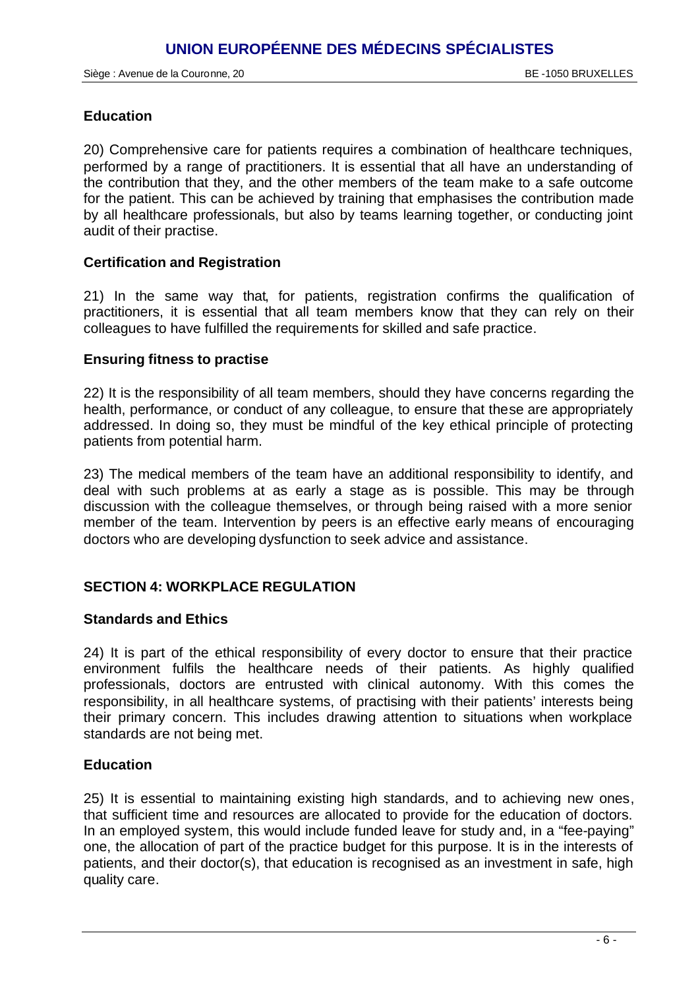#### **Education**

20) Comprehensive care for patients requires a combination of healthcare techniques, performed by a range of practitioners. It is essential that all have an understanding of the contribution that they, and the other members of the team make to a safe outcome for the patient. This can be achieved by training that emphasises the contribution made by all healthcare professionals, but also by teams learning together, or conducting joint audit of their practise.

#### **Certification and Registration**

21) In the same way that, for patients, registration confirms the qualification of practitioners, it is essential that all team members know that they can rely on their colleagues to have fulfilled the requirements for skilled and safe practice.

#### **Ensuring fitness to practise**

22) It is the responsibility of all team members, should they have concerns regarding the health, performance, or conduct of any colleague, to ensure that these are appropriately addressed. In doing so, they must be mindful of the key ethical principle of protecting patients from potential harm.

23) The medical members of the team have an additional responsibility to identify, and deal with such problems at as early a stage as is possible. This may be through discussion with the colleague themselves, or through being raised with a more senior member of the team. Intervention by peers is an effective early means of encouraging doctors who are developing dysfunction to seek advice and assistance.

#### **SECTION 4: WORKPLACE REGULATION**

#### **Standards and Ethics**

24) It is part of the ethical responsibility of every doctor to ensure that their practice environment fulfils the healthcare needs of their patients. As highly qualified professionals, doctors are entrusted with clinical autonomy. With this comes the responsibility, in all healthcare systems, of practising with their patients' interests being their primary concern. This includes drawing attention to situations when workplace standards are not being met.

#### **Education**

25) It is essential to maintaining existing high standards, and to achieving new ones, that sufficient time and resources are allocated to provide for the education of doctors. In an employed system, this would include funded leave for study and, in a "fee-paying" one, the allocation of part of the practice budget for this purpose. It is in the interests of patients, and their doctor(s), that education is recognised as an investment in safe, high quality care.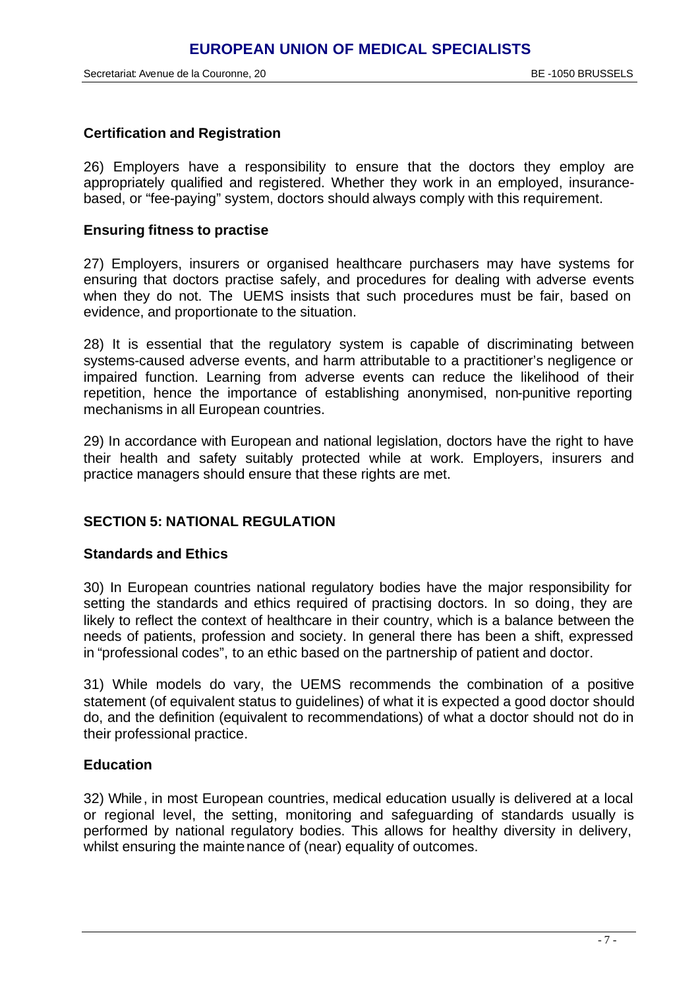Secretariat: Avenue de la Couronne, 20 BE -1050 BRUSSELS

#### **Certification and Registration**

26) Employers have a responsibility to ensure that the doctors they employ are appropriately qualified and registered. Whether they work in an employed, insurancebased, or "fee-paying" system, doctors should always comply with this requirement.

#### **Ensuring fitness to practise**

27) Employers, insurers or organised healthcare purchasers may have systems for ensuring that doctors practise safely, and procedures for dealing with adverse events when they do not. The UEMS insists that such procedures must be fair, based on evidence, and proportionate to the situation.

28) It is essential that the regulatory system is capable of discriminating between systems-caused adverse events, and harm attributable to a practitioner's negligence or impaired function. Learning from adverse events can reduce the likelihood of their repetition, hence the importance of establishing anonymised, non-punitive reporting mechanisms in all European countries.

29) In accordance with European and national legislation, doctors have the right to have their health and safety suitably protected while at work. Employers, insurers and practice managers should ensure that these rights are met.

#### **SECTION 5: NATIONAL REGULATION**

#### **Standards and Ethics**

30) In European countries national regulatory bodies have the major responsibility for setting the standards and ethics required of practising doctors. In so doing, they are likely to reflect the context of healthcare in their country, which is a balance between the needs of patients, profession and society. In general there has been a shift, expressed in "professional codes", to an ethic based on the partnership of patient and doctor.

31) While models do vary, the UEMS recommends the combination of a positive statement (of equivalent status to quidelines) of what it is expected a good doctor should do, and the definition (equivalent to recommendations) of what a doctor should not do in their professional practice.

#### **Education**

32) While, in most European countries, medical education usually is delivered at a local or regional level, the setting, monitoring and safeguarding of standards usually is performed by national regulatory bodies. This allows for healthy diversity in delivery, whilst ensuring the maintenance of (near) equality of outcomes.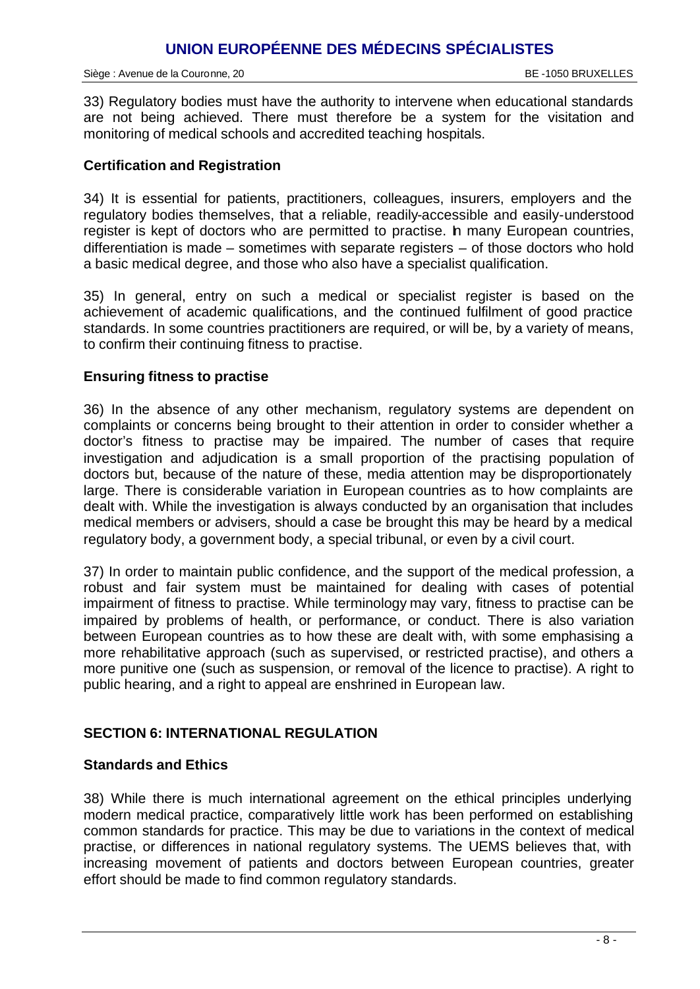## **UNION EUROPÉENNE DES MÉDECINS SPÉCIALISTES**

Siège : Avenue de la Couronne, 20 BE -1050 BRUXELLES

33) Regulatory bodies must have the authority to intervene when educational standards are not being achieved. There must therefore be a system for the visitation and monitoring of medical schools and accredited teaching hospitals.

#### **Certification and Registration**

34) It is essential for patients, practitioners, colleagues, insurers, employers and the regulatory bodies themselves, that a reliable, readily-accessible and easily-understood register is kept of doctors who are permitted to practise. In many European countries, differentiation is made – sometimes with separate registers – of those doctors who hold a basic medical degree, and those who also have a specialist qualification.

35) In general, entry on such a medical or specialist register is based on the achievement of academic qualifications, and the continued fulfilment of good practice standards. In some countries practitioners are required, or will be, by a variety of means, to confirm their continuing fitness to practise.

#### **Ensuring fitness to practise**

36) In the absence of any other mechanism, regulatory systems are dependent on complaints or concerns being brought to their attention in order to consider whether a doctor's fitness to practise may be impaired. The number of cases that require investigation and adjudication is a small proportion of the practising population of doctors but, because of the nature of these, media attention may be disproportionately large. There is considerable variation in European countries as to how complaints are dealt with. While the investigation is always conducted by an organisation that includes medical members or advisers, should a case be brought this may be heard by a medical regulatory body, a government body, a special tribunal, or even by a civil court.

37) In order to maintain public confidence, and the support of the medical profession, a robust and fair system must be maintained for dealing with cases of potential impairment of fitness to practise. While terminology may vary, fitness to practise can be impaired by problems of health, or performance, or conduct. There is also variation between European countries as to how these are dealt with, with some emphasising a more rehabilitative approach (such as supervised, or restricted practise), and others a more punitive one (such as suspension, or removal of the licence to practise). A right to public hearing, and a right to appeal are enshrined in European law.

#### **SECTION 6: INTERNATIONAL REGULATION**

#### **Standards and Ethics**

38) While there is much international agreement on the ethical principles underlying modern medical practice, comparatively little work has been performed on establishing common standards for practice. This may be due to variations in the context of medical practise, or differences in national regulatory systems. The UEMS believes that, with increasing movement of patients and doctors between European countries, greater effort should be made to find common regulatory standards.